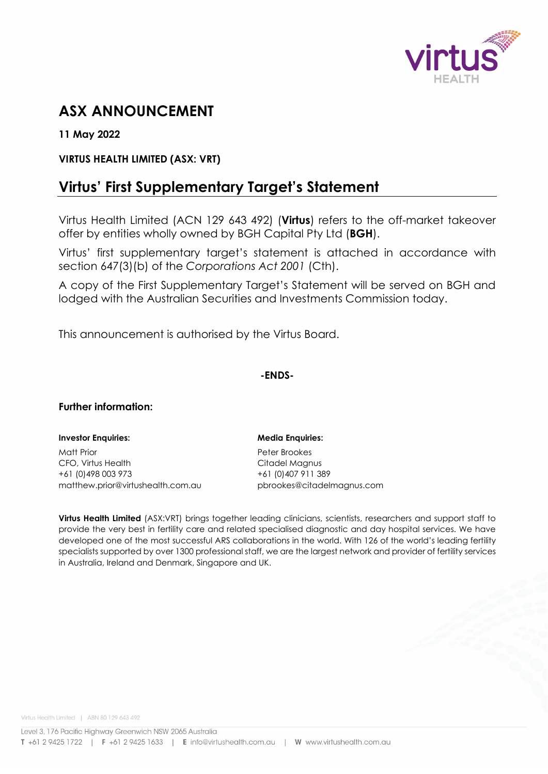

# **ASX ANNOUNCEMENT**

**11 May 2022**

### **VIRTUS HEALTH LIMITED (ASX: VRT)**

## **Virtus' First Supplementary Target's Statement**

Virtus Health Limited (ACN 129 643 492) (**Virtus**) refers to the off-market takeover offer by entities wholly owned by BGH Capital Pty Ltd (**BGH**).

Virtus' first supplementary target's statement is attached in accordance with section 647(3)(b) of the *Corporations Act 2001* (Cth).

A copy of the First Supplementary Target's Statement will be served on BGH and lodged with the Australian Securities and Investments Commission today.

This announcement is authorised by the Virtus Board.

#### **-ENDS-**

#### **Further information:**

#### **Investor Enquiries: Media Enquiries:**

Matt Prior **Peter Brookes** CFO, Virtus Health Citadel Magnus +61 (0)498 003 973 +61 (0)407 911 389 matthew.prior@virtushealth.com.au pbrookes@citadelmagnus.com

**Virtus Health Limited** (ASX:VRT) brings together leading clinicians, scientists, researchers and support staff to provide the very best in fertility care and related specialised diagnostic and day hospital services. We have developed one of the most successful ARS collaborations in the world. With 126 of the world's leading fertility specialists supported by over 1300 professional staff, we are the largest network and provider of fertility services in Australia, Ireland and Denmark, Singapore and UK.

Virtus Health Limited | ABN 80 129 643 492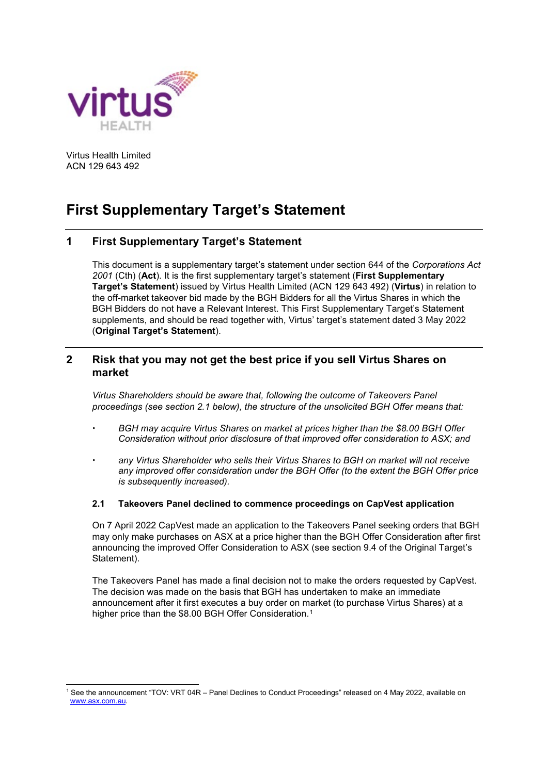

Virtus Health Limited ACN 129 643 492

# **First Supplementary Target's Statement**

#### **1 First Supplementary Target's Statement**

This document is a supplementary target's statement under section 644 of the *Corporations Act 2001* (Cth) (**Act**). It is the first supplementary target's statement (**First Supplementary Target's Statement**) issued by Virtus Health Limited (ACN 129 643 492) (**Virtus**) in relation to the off-market takeover bid made by the BGH Bidders for all the Virtus Shares in which the BGH Bidders do not have a Relevant Interest. This First Supplementary Target's Statement supplements, and should be read together with, Virtus' target's statement dated 3 May 2022 (**Original Target's Statement**).

#### **2 Risk that you may not get the best price if you sell Virtus Shares on market**

*Virtus Shareholders should be aware that, following the outcome of Takeovers Panel proceedings (see section [2.1](#page-1-0) below), the structure of the unsolicited BGH Offer means that:* 

- *BGH may acquire Virtus Shares on market at prices higher than the \$8.00 BGH Offer Consideration without prior disclosure of that improved offer consideration to ASX; and*
- *any Virtus Shareholder who sells their Virtus Shares to BGH on market will not receive any improved offer consideration under the BGH Offer (to the extent the BGH Offer price is subsequently increased).*

#### <span id="page-1-0"></span>**2.1 Takeovers Panel declined to commence proceedings on CapVest application**

On 7 April 2022 CapVest made an application to the Takeovers Panel seeking orders that BGH may only make purchases on ASX at a price higher than the BGH Offer Consideration after first announcing the improved Offer Consideration to ASX (see section 9.4 of the Original Target's Statement).

The Takeovers Panel has made a final decision not to make the orders requested by CapVest. The decision was made on the basis that BGH has undertaken to make an immediate announcement after it first executes a buy order on market (to purchase Virtus Shares) at a higher price than the \$8.00 BGH Offer Consideration.<sup>[1](#page-1-1)</sup>

<span id="page-1-1"></span><sup>1</sup> See the announcement "TOV: VRT 04R – Panel Declines to Conduct Proceedings" released on 4 May 2022, available on [www.asx.com.au.](http://www.asx.com.au/)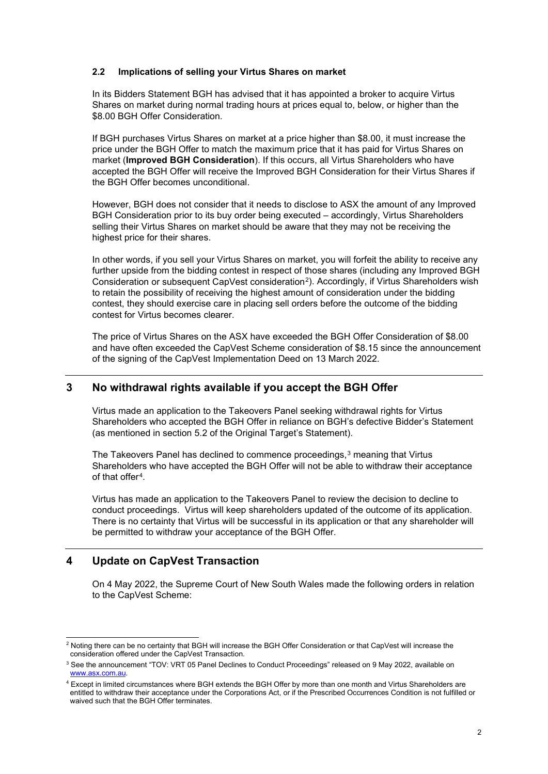#### **2.2 Implications of selling your Virtus Shares on market**

In its Bidders Statement BGH has advised that it has appointed a broker to acquire Virtus Shares on market during normal trading hours at prices equal to, below, or higher than the \$8.00 BGH Offer Consideration.

If BGH purchases Virtus Shares on market at a price higher than \$8.00, it must increase the price under the BGH Offer to match the maximum price that it has paid for Virtus Shares on market (**Improved BGH Consideration**). If this occurs, all Virtus Shareholders who have accepted the BGH Offer will receive the Improved BGH Consideration for their Virtus Shares if the BGH Offer becomes unconditional.

However, BGH does not consider that it needs to disclose to ASX the amount of any Improved BGH Consideration prior to its buy order being executed – accordingly, Virtus Shareholders selling their Virtus Shares on market should be aware that they may not be receiving the highest price for their shares.

In other words, if you sell your Virtus Shares on market, you will forfeit the ability to receive any further upside from the bidding contest in respect of those shares (including any Improved BGH Consideration or subsequent CapVest consideration<sup>2</sup>). Accordingly, if Virtus Shareholders wish to retain the possibility of receiving the highest amount of consideration under the bidding contest, they should exercise care in placing sell orders before the outcome of the bidding contest for Virtus becomes clearer.

The price of Virtus Shares on the ASX have exceeded the BGH Offer Consideration of \$8.00 and have often exceeded the CapVest Scheme consideration of \$8.15 since the announcement of the signing of the CapVest Implementation Deed on 13 March 2022.

#### **3 No withdrawal rights available if you accept the BGH Offer**

Virtus made an application to the Takeovers Panel seeking withdrawal rights for Virtus Shareholders who accepted the BGH Offer in reliance on BGH's defective Bidder's Statement (as mentioned in section 5.2 of the Original Target's Statement).

The Takeovers Panel has declined to commence proceedings,<sup>[3](#page-2-1)</sup> meaning that Virtus Shareholders who have accepted the BGH Offer will not be able to withdraw their acceptance of that offer[4](#page-2-2).

Virtus has made an application to the Takeovers Panel to review the decision to decline to conduct proceedings. Virtus will keep shareholders updated of the outcome of its application. There is no certainty that Virtus will be successful in its application or that any shareholder will be permitted to withdraw your acceptance of the BGH Offer.

#### **4 Update on CapVest Transaction**

On 4 May 2022, the Supreme Court of New South Wales made the following orders in relation to the CapVest Scheme:

<span id="page-2-0"></span><sup>&</sup>lt;sup>2</sup> Noting there can be no certainty that BGH will increase the BGH Offer Consideration or that CapVest will increase the consideration offered under the CapVest Transaction.

<span id="page-2-1"></span><sup>&</sup>lt;sup>3</sup> See the announcement "TOV: VRT 05 Panel Declines to Conduct Proceedings" released on 9 May 2022, available on [www.asx.com.au.](http://www.asx.com.au/) 

<span id="page-2-2"></span><sup>4</sup> Except in limited circumstances where BGH extends the BGH Offer by more than one month and Virtus Shareholders are entitled to withdraw their acceptance under the Corporations Act, or if the Prescribed Occurrences Condition is not fulfilled or waived such that the BGH Offer terminates.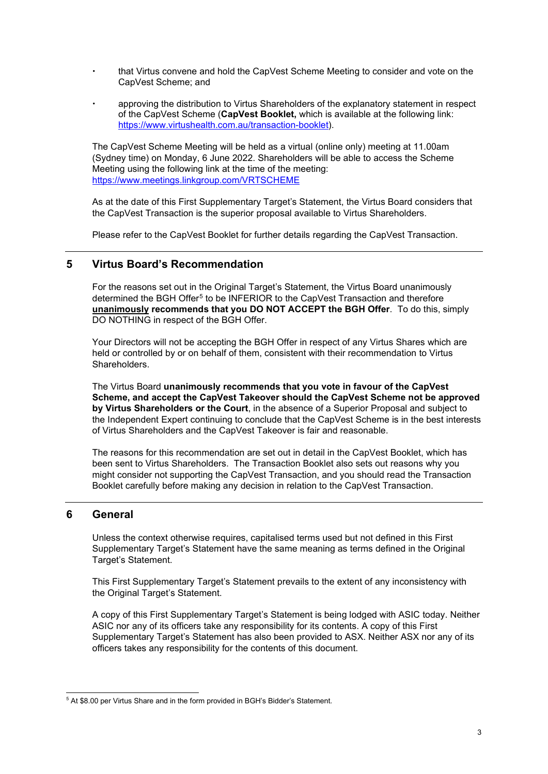- that Virtus convene and hold the CapVest Scheme Meeting to consider and vote on the CapVest Scheme; and
- approving the distribution to Virtus Shareholders of the explanatory statement in respect of the CapVest Scheme (**CapVest Booklet,** which is available at the following link: [https://www.virtushealth.com.au/transaction-booklet\)](https://www.virtushealth.com.au/transaction-booklet).

The CapVest Scheme Meeting will be held as a virtual (online only) meeting at 11.00am (Sydney time) on Monday, 6 June 2022. Shareholders will be able to access the Scheme Meeting using the following link at the time of the meeting: <https://www.meetings.linkgroup.com/VRTSCHEME>

As at the date of this First Supplementary Target's Statement, the Virtus Board considers that the CapVest Transaction is the superior proposal available to Virtus Shareholders.

Please refer to the CapVest Booklet for further details regarding the CapVest Transaction.

#### **5 Virtus Board's Recommendation**

For the reasons set out in the Original Target's Statement, the Virtus Board unanimously determined the BGH Offer<sup>[5](#page-3-0)</sup> to be INFERIOR to the CapVest Transaction and therefore **unanimously recommends that you DO NOT ACCEPT the BGH Offer**. To do this, simply DO NOTHING in respect of the BGH Offer.

Your Directors will not be accepting the BGH Offer in respect of any Virtus Shares which are held or controlled by or on behalf of them, consistent with their recommendation to Virtus Shareholders.

The Virtus Board **unanimously recommends that you vote in favour of the CapVest Scheme, and accept the CapVest Takeover should the CapVest Scheme not be approved by Virtus Shareholders or the Court**, in the absence of a Superior Proposal and subject to the Independent Expert continuing to conclude that the CapVest Scheme is in the best interests of Virtus Shareholders and the CapVest Takeover is fair and reasonable.

The reasons for this recommendation are set out in detail in the CapVest Booklet, which has been sent to Virtus Shareholders. The Transaction Booklet also sets out reasons why you might consider not supporting the CapVest Transaction, and you should read the Transaction Booklet carefully before making any decision in relation to the CapVest Transaction.

#### **6 General**

Unless the context otherwise requires, capitalised terms used but not defined in this First Supplementary Target's Statement have the same meaning as terms defined in the Original Target's Statement.

This First Supplementary Target's Statement prevails to the extent of any inconsistency with the Original Target's Statement.

A copy of this First Supplementary Target's Statement is being lodged with ASIC today. Neither ASIC nor any of its officers take any responsibility for its contents. A copy of this First Supplementary Target's Statement has also been provided to ASX. Neither ASX nor any of its officers takes any responsibility for the contents of this document.

<span id="page-3-0"></span><sup>5</sup> At \$8.00 per Virtus Share and in the form provided in BGH's Bidder's Statement.